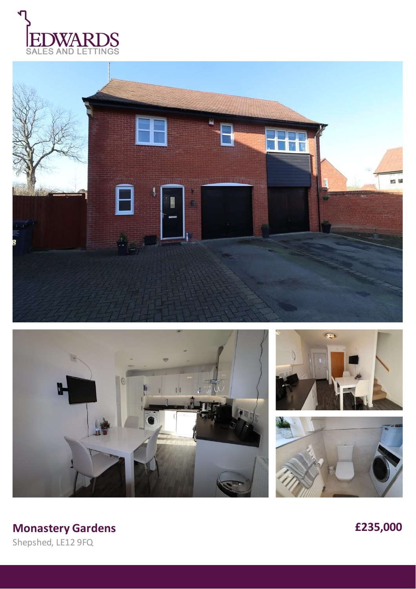









# **Monastery Gardens £235,000**

Shepshed, LE12 9FQ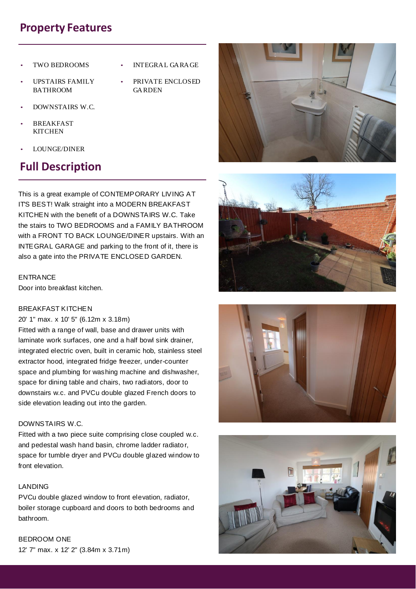## **Property Features**

- TWO BEDROOMS
- UPSTAIRS FAMILY BATHROOM
- INTEGRAL GARAGE
- PRIVATE ENCLOSED GARDEN
- DOWNSTAIRS W.C.
- **BREAKFAST KITCHEN**
- LOUNGE/DINER

# **Full Description**

This is a great example of CONTEMPORARY LIVING AT ITS BEST! Walk straight into a MODERN BREAKFAST KITCHEN with the benefit of a DOWNSTAIRS W.C. Take the stairs to TWO BEDROOMS and a FAMILY BATHROOM with a FRONT TO BACK LOUNGE/DINER upstairs. With an INTEGRAL GARAGE and parking to the front of it, there is also a gate into the PRIVATE ENCLOSED GARDEN.

#### **ENTRANCE**

Door into breakfast kitchen.

#### BREAKFAST KITCHEN

#### 20' 1" max. x 10' 5" (6.12m x 3.18m)

Fitted with a range of wall, base and drawer units with laminate work surfaces, one and a half bowl sink drainer, integrated electric oven, built in ceramic hob, stainless steel extractor hood, integrated fridge freezer, under-counter space and plumbing for washing machine and dishwasher, space for dining table and chairs, two radiators, door to downstairs w.c. and PVCu double glazed French doors to side elevation leading out into the garden.

#### DOWNSTAIRS W.C.

Fitted with a two piece suite comprising close coupled w.c. and pedestal wash hand basin, chrome ladder radiator, space for tumble dryer and PVCu double glazed window to front elevation.

#### LANDING

PVCu double glazed window to front elevation, radiator, boiler storage cupboard and doors to both bedrooms and bathroom.

BEDROOM ONE 12' 7" max. x 12' 2" (3.84m x 3.71m)







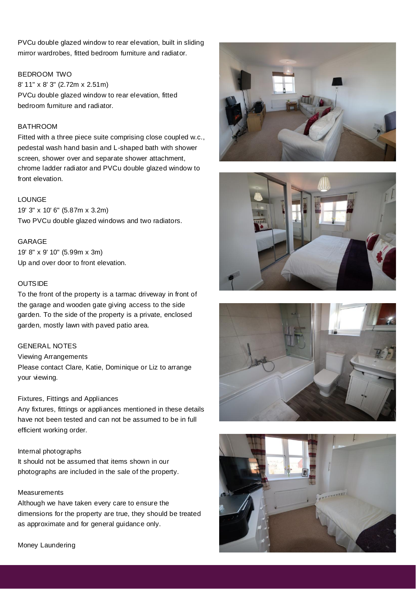PVCu double glazed window to rear elevation, built in sliding mirror wardrobes, fitted bedroom furniture and radiator.

#### BEDROOM TWO

8' 11" x 8' 3" (2.72m x 2.51m) PVCu double glazed window to rear elevation, fitted bedroom furniture and radiator.

#### BATHROOM

Fitted with a three piece suite comprising close coupled w.c., pedestal wash hand basin and L-shaped bath with shower screen, shower over and separate shower attachment, chrome ladder radiator and PVCu double glazed window to front elevation.

#### LOUNGE

19' 3" x 10' 6" (5.87m x 3.2m) Two PVCu double glazed windows and two radiators.

#### GARAGE

19' 8" x 9' 10" (5.99m x 3m) Up and over door to front elevation.

#### **OUTSIDE**

To the front of the property is a tarmac driveway in front of the garage and wooden gate giving access to the side garden. To the side of the property is a private, enclosed garden, mostly lawn with paved patio area.

### GENERAL NOTES

Viewing Arrangements Please contact Clare, Katie, Dominique or Liz to arrange your viewing.

#### Fixtures, Fittings and Appliances

Any fixtures, fittings or appliances mentioned in these details have not been tested and can not be assumed to be in full efficient working order.

#### Internal photographs

It should not be assumed that items shown in our photographs are included in the sale of the property.

#### **Measurements**

Although we have taken every care to ensure the dimensions for the property are true, they should be treated as approximate and for general guidance only.









Money Laundering